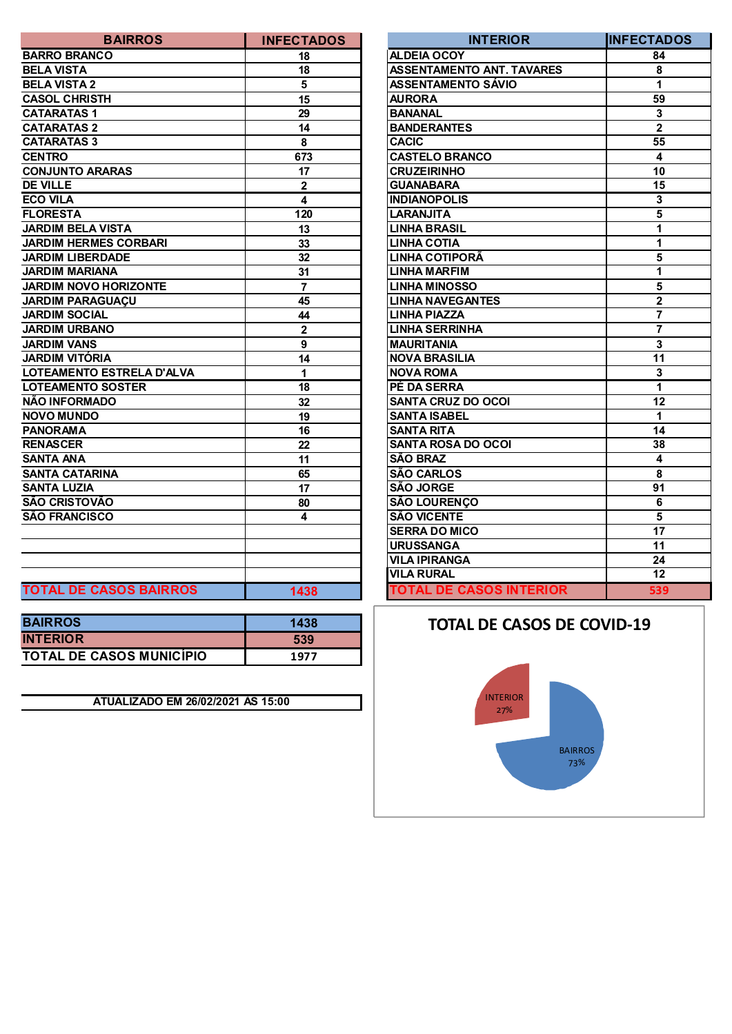| <b>BAIRROS</b>                | <b>INFECTADOS</b> | <b>INTERIOR</b>                  | <b>IINFECTA</b>         |
|-------------------------------|-------------------|----------------------------------|-------------------------|
| <b>BARRO BRANCO</b>           | 18                | <b>ALDEIA OCOY</b>               | 84                      |
| <b>BELA VISTA</b>             | 18                | <b>ASSENTAMENTO ANT. TAVARES</b> | 8                       |
| <b>BELA VISTA 2</b>           | 5                 | <b>ASSENTAMENTO SÁVIO</b>        | $\mathbf{1}$            |
| <b>CASOL CHRISTH</b>          | 15                | <b>AURORA</b>                    | 59                      |
| <b>CATARATAS1</b>             | $\overline{29}$   | <b>BANANAL</b>                   | $\overline{\mathbf{3}}$ |
| <b>CATARATAS 2</b>            | 14                | <b>BANDERANTES</b>               | $\overline{2}$          |
| <b>CATARATAS 3</b>            | 8                 | <b>CACIC</b>                     | 55                      |
| <b>CENTRO</b>                 | 673               | <b>CASTELO BRANCO</b>            | $\overline{\mathbf{4}}$ |
| <b>CONJUNTO ARARAS</b>        | 17                | <b>CRUZEIRINHO</b>               | 10                      |
| <b>DE VILLE</b>               | $\mathbf 2$       | <b>GUANABARA</b>                 | $\overline{15}$         |
| <b>ECO VILA</b>               | 4                 | <b>INDIANOPOLIS</b>              | $\overline{\mathbf{3}}$ |
| <b>FLORESTA</b>               | 120               | <b>LARANJITA</b>                 | $\overline{\mathbf{5}}$ |
| <b>JARDIM BELA VISTA</b>      | 13                | <b>LINHA BRASIL</b>              | $\overline{1}$          |
| <b>JARDIM HERMES CORBARI</b>  | 33                | <b>LINHA COTIA</b>               | $\overline{1}$          |
| <b>JARDIM LIBERDADE</b>       | $\overline{32}$   | <b>LINHA COTIPORÃ</b>            | $\overline{5}$          |
| <b>JARDIM MARIANA</b>         | 31                | <b>LINHA MARFIM</b>              | 1                       |
| <b>JARDIM NOVO HORIZONTE</b>  | $\overline{7}$    | <b>LINHA MINOSSO</b>             | $\overline{\mathbf{5}}$ |
| <b>JARDIM PARAGUAÇU</b>       | 45                | <b>LINHA NAVEGANTES</b>          | $\overline{2}$          |
| <b>JARDIM SOCIAL</b>          | 44                | <b>LINHA PIAZZA</b>              | $\overline{\mathbf{7}}$ |
| <b>JARDIM URBANO</b>          | $\mathbf 2$       | <b>LINHA SERRINHA</b>            | $\overline{\mathbf{7}}$ |
| <b>JARDIM VANS</b>            | 9                 | <b>MAURITANIA</b>                | $\overline{\mathbf{3}}$ |
| <b>JARDIM VITÓRIA</b>         | 14                | <b>NOVA BRASILIA</b>             | 11                      |
| LOTEAMENTO ESTRELA D'ALVA     | 1                 | <b>NOVA ROMA</b>                 | $\overline{\mathbf{3}}$ |
| <b>LOTEAMENTO SOSTER</b>      | 18                | PÉ DA SERRA                      | $\mathbf{1}$            |
| <b>NÃO INFORMADO</b>          | 32                | <b>SANTA CRUZ DO OCOI</b>        | 12                      |
| <b>NOVO MUNDO</b>             | 19                | <b>SANTA ISABEL</b>              | 1                       |
| <b>PANORAMA</b>               | $\overline{16}$   | <b>SANTA RITA</b>                | 14                      |
| <b>RENASCER</b>               | 22                | <b>SANTA ROSA DO OCOI</b>        | 38                      |
| <b>SANTA ANA</b>              | 11                | <b>SÃO BRAZ</b>                  | $\overline{\mathbf{4}}$ |
| <b>SANTA CATARINA</b>         | 65                | <b>SÃO CARLOS</b>                | 8                       |
| <b>SANTA LUZIA</b>            | 17                | <b>SÃO JORGE</b>                 | 91                      |
| SÃO CRISTOVÃO                 | 80                | <b>SÃO LOURENÇO</b>              | $\overline{6}$          |
| <b>SÃO FRANCISCO</b>          | 4                 | <b>SÃO VICENTE</b>               | 5                       |
|                               |                   | <b>SERRA DO MICO</b>             | $\overline{17}$         |
|                               |                   | <b>URUSSANGA</b>                 | $\overline{11}$         |
|                               |                   | <b>VILA IPIRANGA</b>             | 24                      |
|                               |                   | <b>VILA RURAL</b>                | 12                      |
| <b>TOTAL DE CASOS BAIRROS</b> | 1438              | <b>TOTAL DE CASOS INTERIOR</b>   | 53                      |

| <b>BAIRROS</b>                  | 1438 |
|---------------------------------|------|
| <b>INTERIOR</b>                 | 539  |
| <b>TOTAL DE CASOS MUNICÍPIO</b> | 1977 |

**ATUALIZADO EM 26/02/2021 ÀS 15:00**

| <b>BAIRROS</b>                | <b>INFECTADOS</b> | <b>INTERIOR</b>                  | <b>INFECTADOS</b> |
|-------------------------------|-------------------|----------------------------------|-------------------|
| <b>BARRO BRANCO</b>           | 18                | <b>ALDEIA OCOY</b>               | 84                |
| <b>BELA VISTA</b>             | $\overline{18}$   | <b>ASSENTAMENTO ANT. TAVARES</b> | 8                 |
| <b>BELA VISTA 2</b>           | 5                 | <b>ASSENTAMENTO SÁVIO</b>        | 1                 |
| <b>CASOL CHRISTH</b>          | 15                | <b>AURORA</b>                    | 59                |
| <b>CATARATAS 1</b>            | 29                | <b>BANANAL</b>                   | $\mathbf{3}$      |
| <b>CATARATAS 2</b>            | 14                | <b>BANDERANTES</b>               | $\mathbf{2}$      |
| <b>CATARATAS 3</b>            | 8                 | <b>CACIC</b>                     | 55                |
| <b>CENTRO</b>                 | 673               | <b>CASTELO BRANCO</b>            | 4                 |
| <b>CONJUNTO ARARAS</b>        | 17                | <b>CRUZEIRINHO</b>               | 10                |
| <b>DE VILLE</b>               | $\mathbf{2}$      | <b>GUANABARA</b>                 | 15                |
| ECO VILA                      | 4                 | <b>INDIANOPOLIS</b>              | 3                 |
| <b>FLORESTA</b>               | 120               | <b>LARANJITA</b>                 | 5                 |
| <b>JARDIM BELA VISTA</b>      | 13                | <b>LINHA BRASIL</b>              | 1                 |
| JARDIM HERMES CORBARI         | 33                | <b>LINHA COTIA</b>               | 1                 |
| <b>JARDIM LIBERDADE</b>       | 32                | <b>LINHA COTIPORÃ</b>            | 5                 |
| <b>JARDIM MARIANA</b>         | 31                | <b>LINHA MARFIM</b>              | 1                 |
| <b>JARDIM NOVO HORIZONTE</b>  | $\overline{7}$    | <b>LINHA MINOSSO</b>             | 5                 |
| <b>JARDIM PARAGUAÇU</b>       | 45                | <b>LINHA NAVEGANTES</b>          | $\mathbf{2}$      |
| <b>JARDIM SOCIAL</b>          | 44                | <b>LINHA PIAZZA</b>              | 7                 |
| <b>JARDIM URBANO</b>          | $\mathbf{2}$      | <b>LINHA SERRINHA</b>            | $\overline{7}$    |
| <b>JARDIM VANS</b>            | 9                 | <b>MAURITANIA</b>                | $\overline{3}$    |
| JARDIM VITÓRIA                | 14                | <b>NOVA BRASILIA</b>             | $\overline{11}$   |
| LOTEAMENTO ESTRELA D'ALVA     | 1                 | <b>NOVA ROMA</b>                 | 3                 |
| <b>LOTEAMENTO SOSTER</b>      | 18                | PÉ DA SERRA                      | 1                 |
| NÃO INFORMADO                 | 32                | <b>SANTA CRUZ DO OCOI</b>        | $\overline{12}$   |
| <b>NOVO MUNDO</b>             | 19                | <b>SANTA ISABEL</b>              | 1                 |
| <b>PANORAMA</b>               | 16                | <b>SANTA RITA</b>                | 14                |
| <b>RENASCER</b>               | 22                | <b>SANTA ROSA DO OCOI</b>        | 38                |
| <b>SANTA ANA</b>              | 11                | <b>SÃO BRAZ</b>                  | 4                 |
| <b>SANTA CATARINA</b>         | 65                | <b>SÃO CARLOS</b>                | 8                 |
| <b>SANTA LUZIA</b>            | 17                | <b>SÃO JORGE</b>                 | 91                |
| SÃO CRISTOVÃO                 | 80                | <b>SÃO LOURENÇO</b>              | 6                 |
| SÃO FRANCISCO                 | 4                 | <b>SÃO VICENTE</b>               | 5                 |
|                               |                   | <b>SERRA DO MICO</b>             | $\overline{17}$   |
|                               |                   | <b>URUSSANGA</b>                 | 11                |
|                               |                   | <b>VILA IPIRANGA</b>             | 24                |
|                               |                   | <b>VILA RURAL</b>                | 12                |
| <b>TOTAL DE CASOS BAIRROS</b> | 1438              | <b>TOTAL DE CASOS INTERIOR</b>   | 539               |

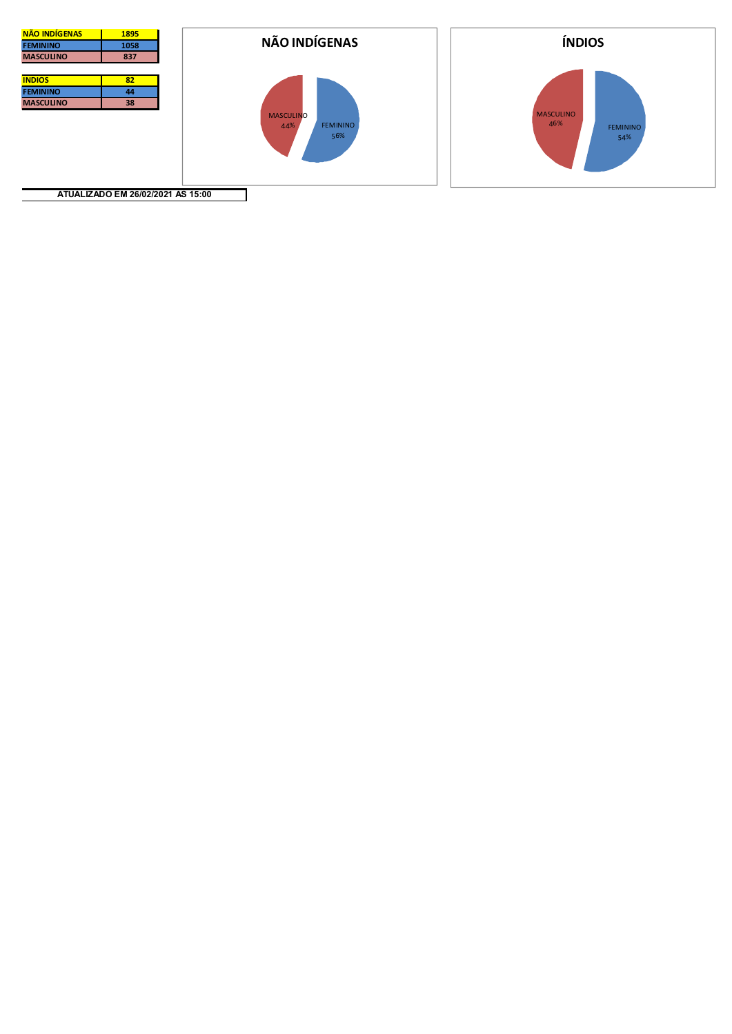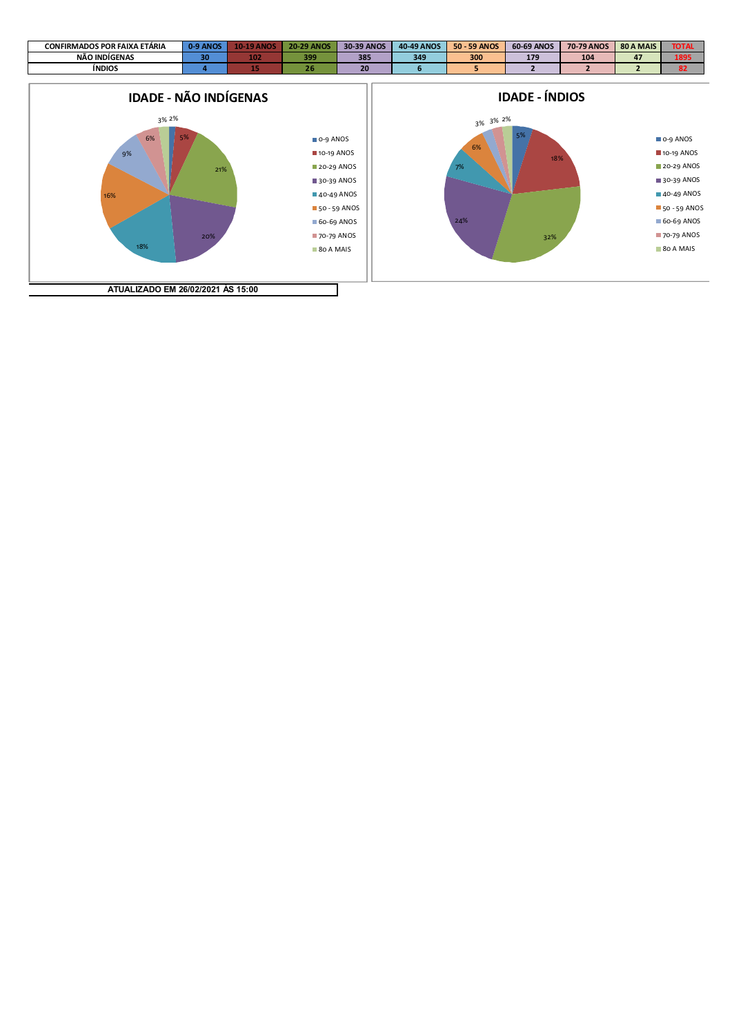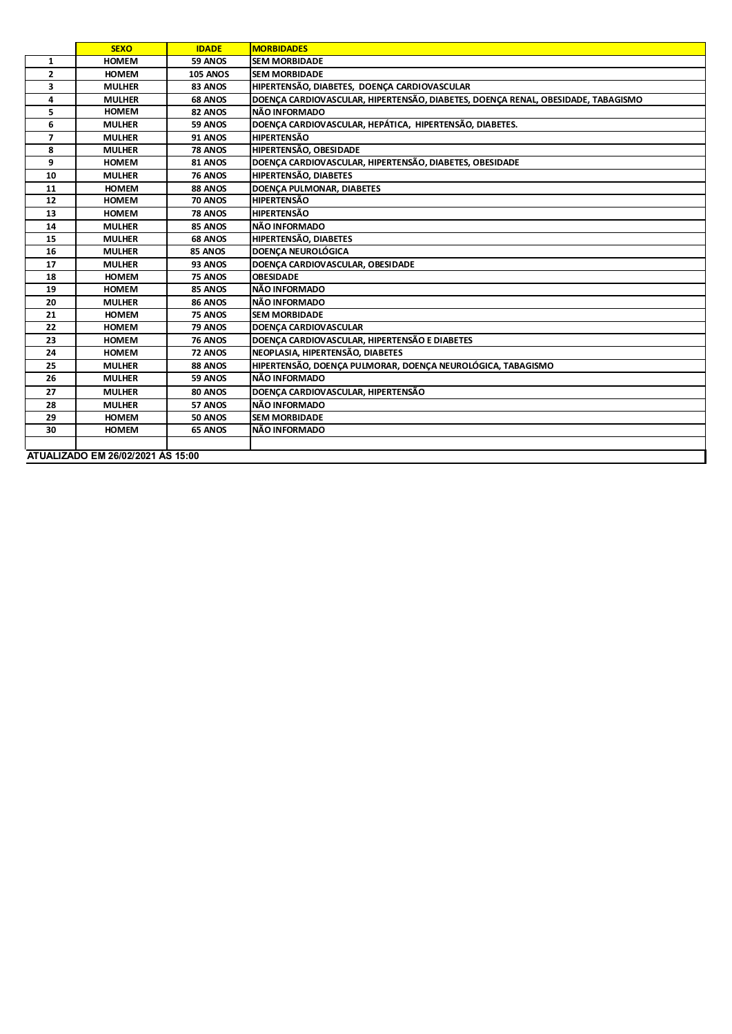|              | <b>SEXO</b>                       | <b>IDADE</b>    | <b>MORBIDADES</b>                                                                |  |
|--------------|-----------------------------------|-----------------|----------------------------------------------------------------------------------|--|
| $\mathbf{1}$ | <b>HOMEM</b>                      | 59 ANOS         | <b>SEM MORBIDADE</b>                                                             |  |
| $\mathbf{z}$ | <b>HOMEM</b>                      | <b>105 ANOS</b> | <b>ISEM MORBIDADE</b>                                                            |  |
| 3            | <b>MULHER</b>                     | 83 ANOS         | HIPERTENSÃO, DIABETES, DOENÇA CARDIOVASCULAR                                     |  |
| 4            | <b>MULHER</b>                     | 68 ANOS         | DOENÇA CARDIOVASCULAR, HIPERTENSÃO, DIABETES, DOENÇA RENAL, OBESIDADE, TABAGISMO |  |
| 5            | <b>HOMEM</b>                      | 82 ANOS         | NÃO INFORMADO                                                                    |  |
| 6            | <b>MULHER</b>                     | 59 ANOS         | DOENÇA CARDIOVASCULAR, HEPÁTICA, HIPERTENSÃO, DIABETES.                          |  |
| 7            | <b>MULHER</b>                     | 91 ANOS         | <b>HIPERTENSÃO</b>                                                               |  |
| 8            | <b>MULHER</b>                     | <b>78 ANOS</b>  | HIPERTENSÃO. OBESIDADE                                                           |  |
| 9            | <b>HOMEM</b>                      | 81 ANOS         | DOENÇA CARDIOVASCULAR, HIPERTENSÃO, DIABETES, OBESIDADE                          |  |
| 10           | <b>MULHER</b>                     | <b>76 ANOS</b>  | <b>HIPERTENSÃO, DIABETES</b>                                                     |  |
| 11           | <b>HOMEM</b>                      | 88 ANOS         | DOENCA PULMONAR, DIABETES                                                        |  |
| 12           | <b>HOMEM</b>                      | <b>70 ANOS</b>  | HIPERTENSÃO                                                                      |  |
| 13           | <b>HOMEM</b>                      | 78 ANOS         | <b>HIPERTENSÃO</b>                                                               |  |
| 14           | <b>MULHER</b>                     | 85 ANOS         | NÃO INFORMADO                                                                    |  |
| 15           | <b>MULHER</b>                     | 68 ANOS         | HIPERTENSÃO, DIABETES                                                            |  |
| 16           | <b>MULHER</b>                     | 85 ANOS         | <b>DOENCA NEUROLÓGICA</b>                                                        |  |
| 17           | <b>MULHER</b>                     | 93 ANOS         | DOENCA CARDIOVASCULAR, OBESIDADE                                                 |  |
| 18           | <b>HOMEM</b>                      | 75 ANOS         | <b>OBESIDADE</b>                                                                 |  |
| 19           | <b>HOMEM</b>                      | 85 ANOS         | NÃO INFORMADO                                                                    |  |
| 20           | <b>MULHER</b>                     | 86 ANOS         | NÃO INFORMADO                                                                    |  |
| 21           | <b>HOMEM</b>                      | 75 ANOS         | <b>SEM MORBIDADE</b>                                                             |  |
| 22           | <b>HOMEM</b>                      | 79 ANOS         | <b>DOENCA CARDIOVASCULAR</b>                                                     |  |
| 23           | <b>HOMEM</b>                      | <b>76 ANOS</b>  | DOENÇA CARDIOVASCULAR, HIPERTENSÃO E DIABETES                                    |  |
| 24           | <b>HOMEM</b>                      | 72 ANOS         | NEOPLASIA, HIPERTENSÃO, DIABETES                                                 |  |
| 25           | <b>MULHER</b>                     | 88 ANOS         | HIPERTENSÃO, DOENÇA PULMORAR, DOENÇA NEUROLÓGICA, TABAGISMO                      |  |
| 26           | <b>MULHER</b>                     | 59 ANOS         | NÃO INFORMADO                                                                    |  |
| 27           | <b>MULHER</b>                     | 80 ANOS         | DOENÇA CARDIOVASCULAR, HIPERTENSÃO                                               |  |
| 28           | <b>MULHER</b>                     | 57 ANOS         | NÃO INFORMADO                                                                    |  |
| 29           | <b>HOMEM</b>                      | <b>50 ANOS</b>  | <b>ISEM MORBIDADE</b>                                                            |  |
| 30           | <b>HOMEM</b>                      | 65 ANOS         | NÃO INFORMADO                                                                    |  |
|              |                                   |                 |                                                                                  |  |
|              | ATUALIZADO EM 26/02/2021 AS 15:00 |                 |                                                                                  |  |